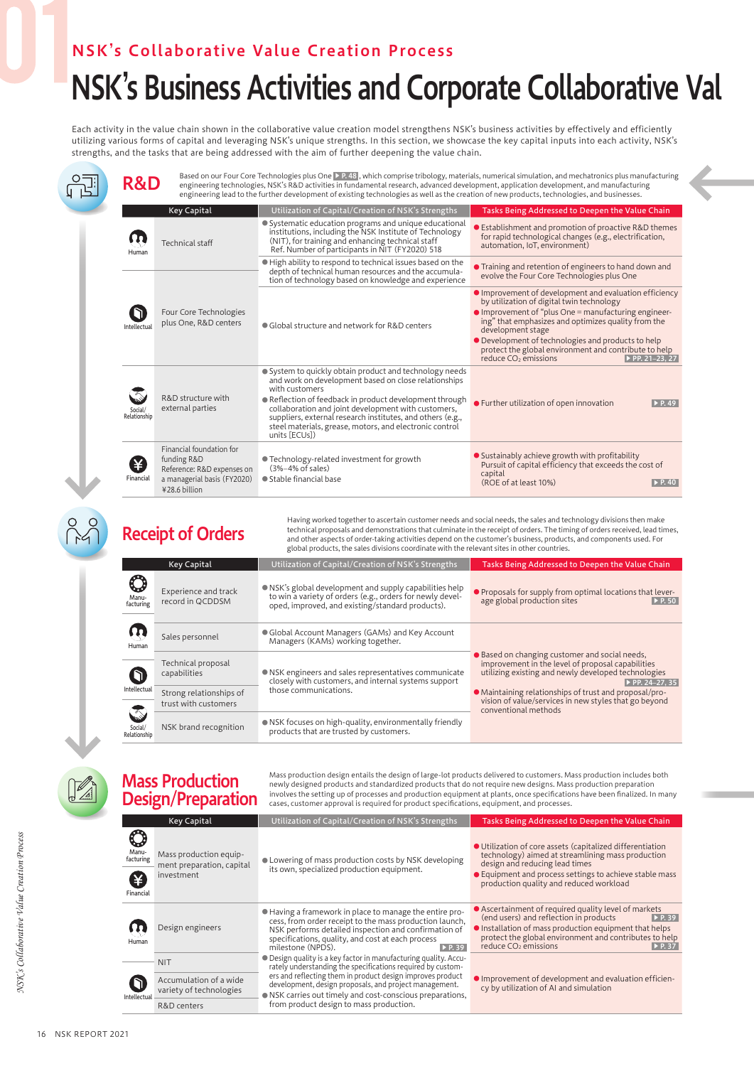## NSK's Collaborative Value Creation Process

## NSK's Business Activities and Corporate Collaborative Val

Each activity in the value chain shown in the collaborative value creation model strengthens NSK's business activities by effectively and efficiently utilizing various forms of capital and leveraging NSK's unique strengths. In this section, we showcase the key capital inputs into each activity, NSK's strengths, and the tasks that are being addressed with the aim of further deepening the value chain.

멯 Based on our Four Core Technologies plus One DR 481, which comprise tribology, materials, numerical simulation, and mechatronics plus manufacturing<br> **R&D** engineering technologies, NSK's R&D activities in fundamental resea engineering lead to the further development of existing technologies as well as the creation of new products, technologies, and businesses. Key Capital Utilization of Capital/Creation of NSK's Strengths Tasks Being Addressed to Deepen the Value Chain ● Systematic education programs and unique educational ● Establishment and promotion of proactive R&D themes institutions, including the NSK Institute of Technology (NIT), for training and enhancing technical staff  $\mathbf \Omega$ for rapid technological changes (e.g., electrification, Technical staff automation, IoT, environment) Ref. Number of participants in NIT (FY2020) 518 Human ● High ability to respond to technical issues based on the ● Training and retention of engineers to hand down and depth of technical human resources and the accumulaevolve the Four Core Technologies plus One tion of technology based on knowledge and experience ● Improvement of development and evaluation efficiency by utilization of digital twin technology ● Improvement of "plus One = manufacturing engineern Four Core Technologies plus One, R&D centers <br> **••** Global structure and network for R&D centers ing" that emphasizes and optimizes quality from the development stage Intellectual **• Development of technologies and products to help** protect the global environment and contribute to help reduce CO2 emissions ▶ PP. 21–23, 27 ● System to quickly obtain product and technology needs and work on development based on close relationships with customers R&D structure with ● Reflection of feedback in product development through ● Further utilization of open innovation **▶ P. 49** external parties collaboration and joint development with customers, Social/ Relationship suppliers, external research institutes, and others (e.g., steel materials, grease, motors, and electronic control units [ECUs]) Financial foundation for ● Sustainably achieve growth with profitability funding R&D ● Technology-related investment for growth (¥) Pursuit of capital efficiency that exceeds the cost of (3%–4% of sales) Reference: R&D expenses on capital a managerial basis (FY2020) Financial ● Stable financial base  $(ROE of at least 10%)$  **P. 40** ¥28.6 billion Having worked together to ascertain customer needs and social needs, the sales and technology divisions then make technical proposals and demonstrations that culminate in the receipt of orders. The timing of orders received, lead times, Receipt of Orders and other aspects of order-taking activities depend on the customer's business, products, and components used. For global products, the sales divisions coordinate with the relevant sites in other countries. Key Capital Utilization of Capital/Creation of NSK's Strengths Tasks Being Addressed to Deepen the Value Chain

|  | C<br>Manu-<br>facturing | Experience and track<br>record in QCDDSM        | • NSK's global development and supply capabilities help<br>to win a variety of orders (e.g., orders for newly devel-<br>oped, improved, and existing/standard products). | • Proposals for supply from optimal locations that lever-<br>age global production sites<br>$\triangleright$ P.50                                                                                                                                                                                                      |
|--|-------------------------|-------------------------------------------------|--------------------------------------------------------------------------------------------------------------------------------------------------------------------------|------------------------------------------------------------------------------------------------------------------------------------------------------------------------------------------------------------------------------------------------------------------------------------------------------------------------|
|  | Human                   | Sales personnel                                 | • Global Account Managers (GAMs) and Key Account<br>Managers (KAMs) working together.                                                                                    | ● Based on changing customer and social needs,<br>improvement in the level of proposal capabilities<br>utilizing existing and newly developed technologies<br>PP. 24-27, 35<br>• Maintaining relationships of trust and proposal/pro-<br>vision of value/services in new styles that go beyond<br>conventional methods |
|  |                         | Technical proposal<br>capabilities              | • NSK engineers and sales representatives communicate<br>closely with customers, and internal systems support<br>those communications.                                   |                                                                                                                                                                                                                                                                                                                        |
|  | Intellectual            | Strong relationships of<br>trust with customers |                                                                                                                                                                          |                                                                                                                                                                                                                                                                                                                        |
|  | Social/<br>Relationship | NSK brand recognition                           | • NSK focuses on high-quality, environmentally friendly<br>products that are trusted by customers.                                                                       |                                                                                                                                                                                                                                                                                                                        |

Mass production design entails the design of large-lot products delivered to customers. Mass production includes both newly designed products and standardized products that do not require new designs. Mass production preparation involves the setting up of processes and production equipment at plants, once specifications have been finalized. In many cases, customer approval is required for product specifications, equipment, and processes.

|                                 | <b>Key Capital</b>                                                | Utilization of Capital/Creation of NSK's Strengths                                                                                                                                                                                                                                                                                                              | Tasks Being Addressed to Deepen the Value Chain                                                                                                                                                                                                                                                         |
|---------------------------------|-------------------------------------------------------------------|-----------------------------------------------------------------------------------------------------------------------------------------------------------------------------------------------------------------------------------------------------------------------------------------------------------------------------------------------------------------|---------------------------------------------------------------------------------------------------------------------------------------------------------------------------------------------------------------------------------------------------------------------------------------------------------|
| Manu-<br>facturing<br>Financial | Mass production equip-<br>ment preparation, capital<br>investment | • Lowering of mass production costs by NSK developing<br>its own, specialized production equipment.                                                                                                                                                                                                                                                             | ● Utilization of core assets (capitalized differentiation<br>technology) aimed at streamlining mass production<br>design and reducing lead times<br>• Equipment and process settings to achieve stable mass<br>production quality and reduced workload                                                  |
| Human                           | Design engineers                                                  | • Having a framework in place to manage the entire pro-<br>cess, from order receipt to the mass production launch,<br>NSK performs detailed inspection and confirmation of<br>specifications, quality, and cost at each process<br>milestone (NPDS).<br>$\triangleright$ P. 39                                                                                  | • Ascertainment of required quality level of markets<br>(end users) and reflection in products<br>$\triangleright$ P. 39<br>Installation of mass production equipment that helps<br>protect the global environment and contributes to help<br>reduce CO <sub>2</sub> emissions<br>$\triangleright$ P.37 |
|                                 | <b>NIT</b>                                                        | ● Design quality is a key factor in manufacturing quality. Accu-<br>rately understanding the specifications required by custom-<br>ers and reflecting them in product design improves product<br>development, design proposals, and project management.<br>● NSK carries out timely and cost-conscious preparations,<br>from product design to mass production. | Improvement of development and evaluation efficien-<br>cy by utilization of AI and simulation                                                                                                                                                                                                           |
| Intellectual                    | Accumulation of a wide<br>variety of technologies                 |                                                                                                                                                                                                                                                                                                                                                                 |                                                                                                                                                                                                                                                                                                         |
|                                 | R&D centers                                                       |                                                                                                                                                                                                                                                                                                                                                                 |                                                                                                                                                                                                                                                                                                         |

Mass Production Design/Preparation